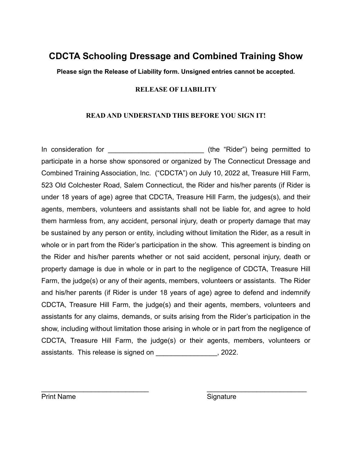## **CDCTA Schooling Dressage and Combined Training Show**

**Please sign the Release of Liability form. Unsigned entries cannot be accepted.** 

## **RELEASE OF LIABILITY**

## **READ AND UNDERSTAND THIS BEFORE YOU SIGN IT!**

In consideration for the same of the "Rider") being permitted to participate in a horse show sponsored or organized by The Connecticut Dressage and Combined Training Association, Inc. ("CDCTA") on July 10, 2022 at, Treasure Hill Farm, 523 Old Colchester Road, Salem Connecticut, the Rider and his/her parents (if Rider is under 18 years of age) agree that CDCTA, Treasure Hill Farm, the judges(s), and their agents, members, volunteers and assistants shall not be liable for, and agree to hold them harmless from, any accident, personal injury, death or property damage that may be sustained by any person or entity, including without limitation the Rider, as a result in whole or in part from the Rider's participation in the show. This agreement is binding on the Rider and his/her parents whether or not said accident, personal injury, death or property damage is due in whole or in part to the negligence of CDCTA, Treasure Hill Farm, the judge(s) or any of their agents, members, volunteers or assistants. The Rider and his/her parents (if Rider is under 18 years of age) agree to defend and indemnify CDCTA, Treasure Hill Farm, the judge(s) and their agents, members, volunteers and assistants for any claims, demands, or suits arising from the Rider's participation in the show, including without limitation those arising in whole or in part from the negligence of CDCTA, Treasure Hill Farm, the judge(s) or their agents, members, volunteers or assistants. This release is signed on \_\_\_\_\_\_\_\_\_\_\_\_\_\_\_\_, 2022.

 $\mathcal{L}_\text{max}$  , and the contract of the contract of the contract of the contract of the contract of the contract of the contract of the contract of the contract of the contract of the contract of the contract of the contr

Print Name Signature